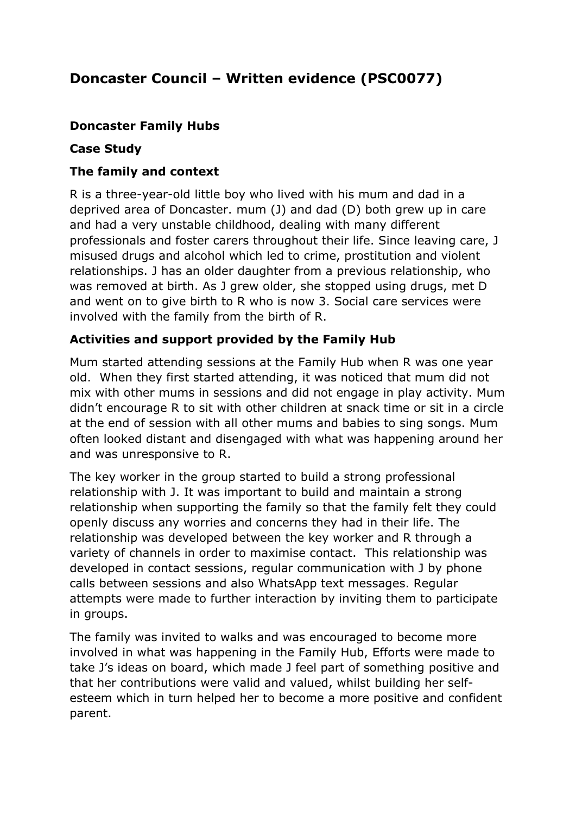# **Doncaster Council – Written evidence (PSC0077)**

## **Doncaster Family Hubs**

#### **Case Study**

## **The family and context**

R is a three-year-old little boy who lived with his mum and dad in a deprived area of Doncaster. mum (J) and dad (D) both grew up in care and had a very unstable childhood, dealing with many different professionals and foster carers throughout their life. Since leaving care, J misused drugs and alcohol which led to crime, prostitution and violent relationships. J has an older daughter from a previous relationship, who was removed at birth. As J grew older, she stopped using drugs, met D and went on to give birth to R who is now 3. Social care services were involved with the family from the birth of R.

### **Activities and support provided by the Family Hub**

Mum started attending sessions at the Family Hub when R was one year old. When they first started attending, it was noticed that mum did not mix with other mums in sessions and did not engage in play activity. Mum didn't encourage R to sit with other children at snack time or sit in a circle at the end of session with all other mums and babies to sing songs. Mum often looked distant and disengaged with what was happening around her and was unresponsive to R.

The key worker in the group started to build a strong professional relationship with J. It was important to build and maintain a strong relationship when supporting the family so that the family felt they could openly discuss any worries and concerns they had in their life. The relationship was developed between the key worker and R through a variety of channels in order to maximise contact. This relationship was developed in contact sessions, regular communication with J by phone calls between sessions and also WhatsApp text messages. Regular attempts were made to further interaction by inviting them to participate in groups.

The family was invited to walks and was encouraged to become more involved in what was happening in the Family Hub, Efforts were made to take J's ideas on board, which made J feel part of something positive and that her contributions were valid and valued, whilst building her selfesteem which in turn helped her to become a more positive and confident parent.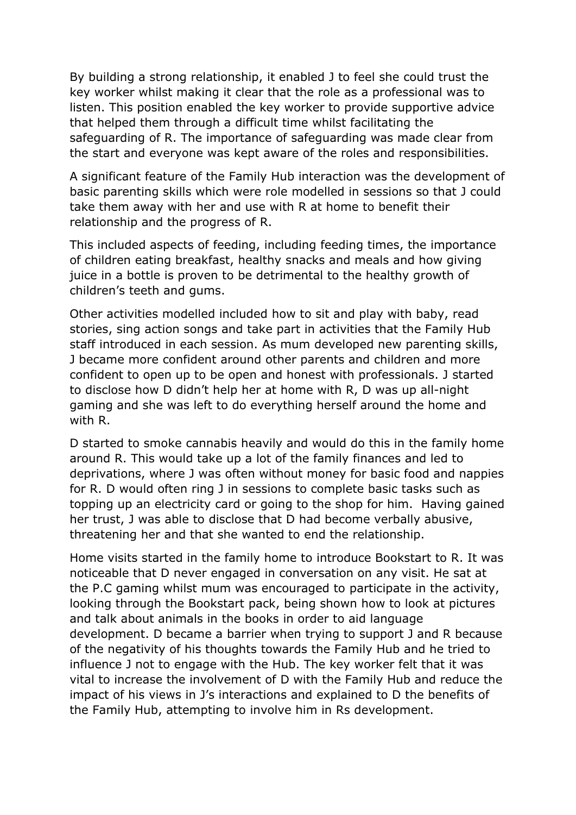By building a strong relationship, it enabled J to feel she could trust the key worker whilst making it clear that the role as a professional was to listen. This position enabled the key worker to provide supportive advice that helped them through a difficult time whilst facilitating the safeguarding of R. The importance of safeguarding was made clear from the start and everyone was kept aware of the roles and responsibilities.

A significant feature of the Family Hub interaction was the development of basic parenting skills which were role modelled in sessions so that J could take them away with her and use with R at home to benefit their relationship and the progress of R.

This included aspects of feeding, including feeding times, the importance of children eating breakfast, healthy snacks and meals and how giving juice in a bottle is proven to be detrimental to the healthy growth of children's teeth and gums.

Other activities modelled included how to sit and play with baby, read stories, sing action songs and take part in activities that the Family Hub staff introduced in each session. As mum developed new parenting skills, J became more confident around other parents and children and more confident to open up to be open and honest with professionals. J started to disclose how D didn't help her at home with R, D was up all-night gaming and she was left to do everything herself around the home and with R.

D started to smoke cannabis heavily and would do this in the family home around R. This would take up a lot of the family finances and led to deprivations, where J was often without money for basic food and nappies for R. D would often ring J in sessions to complete basic tasks such as topping up an electricity card or going to the shop for him. Having gained her trust, J was able to disclose that D had become verbally abusive, threatening her and that she wanted to end the relationship.

Home visits started in the family home to introduce Bookstart to R. It was noticeable that D never engaged in conversation on any visit. He sat at the P.C gaming whilst mum was encouraged to participate in the activity, looking through the Bookstart pack, being shown how to look at pictures and talk about animals in the books in order to aid language development. D became a barrier when trying to support J and R because of the negativity of his thoughts towards the Family Hub and he tried to influence J not to engage with the Hub. The key worker felt that it was vital to increase the involvement of D with the Family Hub and reduce the impact of his views in J's interactions and explained to D the benefits of the Family Hub, attempting to involve him in Rs development.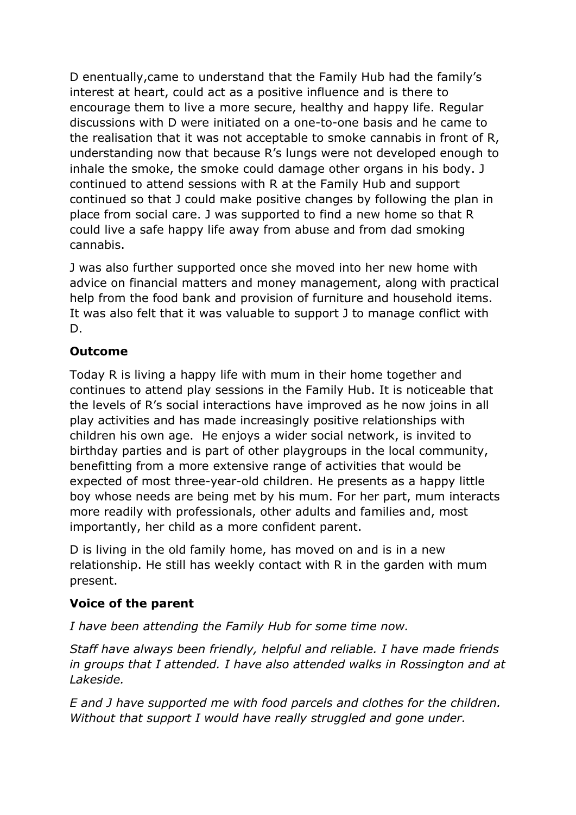D enentually,came to understand that the Family Hub had the family's interest at heart, could act as a positive influence and is there to encourage them to live a more secure, healthy and happy life. Regular discussions with D were initiated on a one-to-one basis and he came to the realisation that it was not acceptable to smoke cannabis in front of R, understanding now that because R's lungs were not developed enough to inhale the smoke, the smoke could damage other organs in his body. J continued to attend sessions with R at the Family Hub and support continued so that J could make positive changes by following the plan in place from social care. J was supported to find a new home so that R could live a safe happy life away from abuse and from dad smoking cannabis.

J was also further supported once she moved into her new home with advice on financial matters and money management, along with practical help from the food bank and provision of furniture and household items. It was also felt that it was valuable to support J to manage conflict with D.

### **Outcome**

Today R is living a happy life with mum in their home together and continues to attend play sessions in the Family Hub. It is noticeable that the levels of R's social interactions have improved as he now joins in all play activities and has made increasingly positive relationships with children his own age. He enjoys a wider social network, is invited to birthday parties and is part of other playgroups in the local community, benefitting from a more extensive range of activities that would be expected of most three-year-old children. He presents as a happy little boy whose needs are being met by his mum. For her part, mum interacts more readily with professionals, other adults and families and, most importantly, her child as a more confident parent.

D is living in the old family home, has moved on and is in a new relationship. He still has weekly contact with R in the garden with mum present.

## **Voice of the parent**

*I have been attending the Family Hub for some time now.*

*Staff have always been friendly, helpful and reliable. I have made friends in groups that I attended. I have also attended walks in Rossington and at Lakeside.*

*E and J have supported me with food parcels and clothes for the children. Without that support I would have really struggled and gone under.*